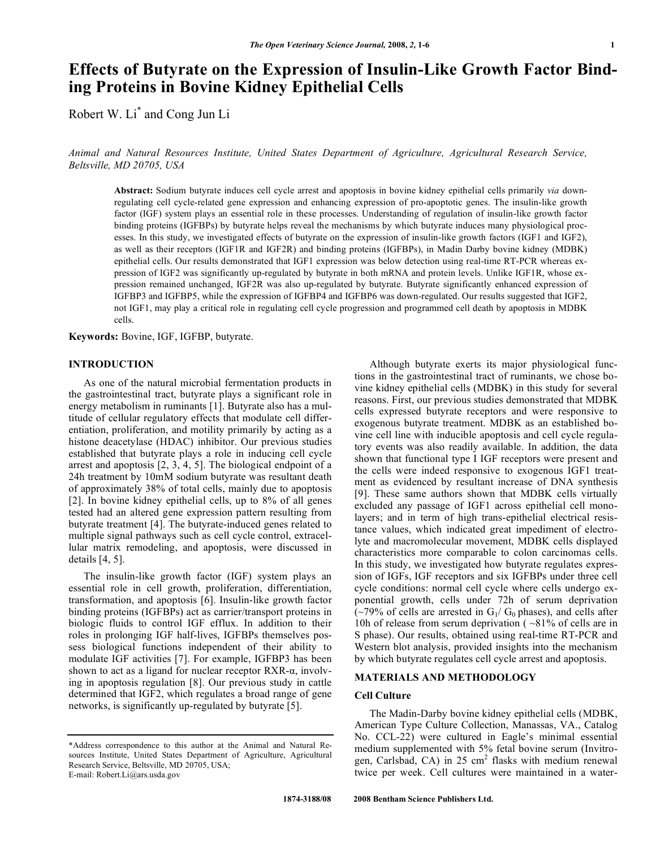# **Effects of Butyrate on the Expression of Insulin-Like Growth Factor Binding Proteins in Bovine Kidney Epithelial Cells**

Robert W. Li\* and Cong Jun Li

*Animal and Natural Resources Institute, United States Department of Agriculture, Agricultural Research Service, Beltsville, MD 20705, USA* 

**Abstract:** Sodium butyrate induces cell cycle arrest and apoptosis in bovine kidney epithelial cells primarily *via* downregulating cell cycle-related gene expression and enhancing expression of pro-apoptotic genes. The insulin-like growth factor (IGF) system plays an essential role in these processes. Understanding of regulation of insulin-like growth factor binding proteins (IGFBPs) by butyrate helps reveal the mechanisms by which butyrate induces many physiological processes. In this study, we investigated effects of butyrate on the expression of insulin-like growth factors (IGF1 and IGF2), as well as their receptors (IGF1R and IGF2R) and binding proteins (IGFBPs), in Madin Darby bovine kidney (MDBK) epithelial cells. Our results demonstrated that IGF1 expression was below detection using real-time RT-PCR whereas expression of IGF2 was significantly up-regulated by butyrate in both mRNA and protein levels. Unlike IGF1R, whose expression remained unchanged, IGF2R was also up-regulated by butyrate. Butyrate significantly enhanced expression of IGFBP3 and IGFBP5, while the expression of IGFBP4 and IGFBP6 was down-regulated. Our results suggested that IGF2, not IGF1, may play a critical role in regulating cell cycle progression and programmed cell death by apoptosis in MDBK cells.

**Keywords:** Bovine, IGF, IGFBP, butyrate.

#### **INTRODUCTION**

 As one of the natural microbial fermentation products in the gastrointestinal tract, butyrate plays a significant role in energy metabolism in ruminants [1]. Butyrate also has a multitude of cellular regulatory effects that modulate cell differentiation, proliferation, and motility primarily by acting as a histone deacetylase (HDAC) inhibitor. Our previous studies established that butyrate plays a role in inducing cell cycle arrest and apoptosis [2, 3, 4, 5]. The biological endpoint of a 24h treatment by 10mM sodium butyrate was resultant death of approximately 38% of total cells, mainly due to apoptosis [2]. In bovine kidney epithelial cells, up to 8% of all genes tested had an altered gene expression pattern resulting from butyrate treatment [4]. The butyrate-induced genes related to multiple signal pathways such as cell cycle control, extracellular matrix remodeling, and apoptosis, were discussed in details [4, 5].

 The insulin-like growth factor (IGF) system plays an essential role in cell growth, proliferation, differentiation, transformation, and apoptosis [6]. Insulin-like growth factor binding proteins (IGFBPs) act as carrier/transport proteins in biologic fluids to control IGF efflux. In addition to their roles in prolonging IGF half-lives, IGFBPs themselves possess biological functions independent of their ability to modulate IGF activities [7]. For example, IGFBP3 has been shown to act as a ligand for nuclear receptor  $RXR-\alpha$ , involving in apoptosis regulation [8]. Our previous study in cattle determined that IGF2, which regulates a broad range of gene networks, is significantly up-regulated by butyrate [5].

 Although butyrate exerts its major physiological functions in the gastrointestinal tract of ruminants, we chose bovine kidney epithelial cells (MDBK) in this study for several reasons. First, our previous studies demonstrated that MDBK cells expressed butyrate receptors and were responsive to exogenous butyrate treatment. MDBK as an established bovine cell line with inducible apoptosis and cell cycle regulatory events was also readily available. In addition, the data shown that functional type I IGF receptors were present and the cells were indeed responsive to exogenous IGF1 treatment as evidenced by resultant increase of DNA synthesis [9]. These same authors shown that MDBK cells virtually excluded any passage of IGF1 across epithelial cell monolayers; and in term of high trans-epithelial electrical resistance values, which indicated great impediment of electrolyte and macromolecular movement, MDBK cells displayed characteristics more comparable to colon carcinomas cells. In this study, we investigated how butyrate regulates expression of IGFs, IGF receptors and six IGFBPs under three cell cycle conditions: normal cell cycle where cells undergo exponential growth, cells under 72h of serum deprivation  $(-79%$  of cells are arrested in G<sub>1</sub>/ G<sub>0</sub> phases), and cells after 10h of release from serum deprivation ( ~81% of cells are in S phase). Our results, obtained using real-time RT-PCR and Western blot analysis, provided insights into the mechanism by which butyrate regulates cell cycle arrest and apoptosis.

## **MATERIALS AND METHODOLOGY**

# **Cell Culture**

 The Madin-Darby bovine kidney epithelial cells (MDBK, American Type Culture Collection, Manassas, VA., Catalog No. CCL-22) were cultured in Eagle's minimal essential medium supplemented with 5% fetal bovine serum (Invitrogen, Carlsbad, CA) in 25 cm<sup>2</sup> flasks with medium renewal twice per week. Cell cultures were maintained in a water-

<sup>\*</sup>Address correspondence to this author at the Animal and Natural Resources Institute, United States Department of Agriculture, Agricultural Research Service, Beltsville, MD 20705, USA; E-mail: Robert.Li@ars.usda.gov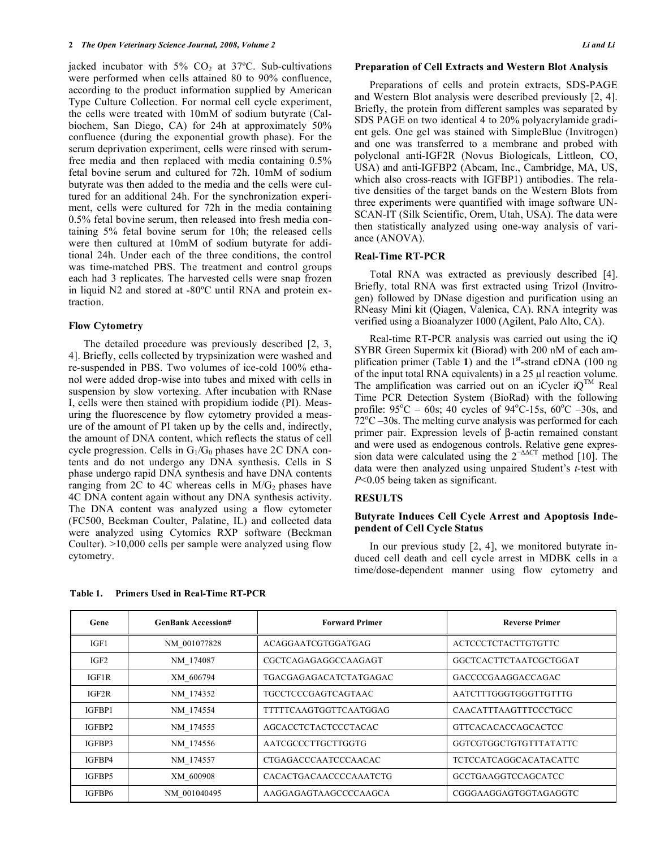jacked incubator with  $5\%$  CO<sub>2</sub> at  $37^{\circ}$ C. Sub-cultivations were performed when cells attained 80 to 90% confluence, according to the product information supplied by American Type Culture Collection. For normal cell cycle experiment, the cells were treated with 10mM of sodium butyrate (Calbiochem, San Diego, CA) for 24h at approximately 50% confluence (during the exponential growth phase). For the serum deprivation experiment, cells were rinsed with serumfree media and then replaced with media containing 0.5% fetal bovine serum and cultured for 72h. 10mM of sodium butyrate was then added to the media and the cells were cultured for an additional 24h. For the synchronization experiment, cells were cultured for 72h in the media containing 0.5% fetal bovine serum, then released into fresh media containing 5% fetal bovine serum for 10h; the released cells were then cultured at 10mM of sodium butyrate for additional 24h. Under each of the three conditions, the control was time-matched PBS. The treatment and control groups each had 3 replicates. The harvested cells were snap frozen in liquid N2 and stored at -80ºC until RNA and protein extraction.

#### **Flow Cytometry**

The detailed procedure was previously described [2, 3, 4]. Briefly, cells collected by trypsinization were washed and re-suspended in PBS. Two volumes of ice-cold 100% ethanol were added drop-wise into tubes and mixed with cells in suspension by slow vortexing. After incubation with RNase I, cells were then stained with propidium iodide (PI). Measuring the fluorescence by flow cytometry provided a measure of the amount of PI taken up by the cells and, indirectly, the amount of DNA content, which reflects the status of cell cycle progression. Cells in  $G_1/G_0$  phases have 2C DNA contents and do not undergo any DNA synthesis. Cells in S phase undergo rapid DNA synthesis and have DNA contents ranging from 2C to 4C whereas cells in  $M/G<sub>2</sub>$  phases have 4C DNA content again without any DNA synthesis activity. The DNA content was analyzed using a flow cytometer (FC500, Beckman Coulter, Palatine, IL) and collected data were analyzed using Cytomics RXP software (Beckman Coulter). >10,000 cells per sample were analyzed using flow cytometry.

#### **Preparation of Cell Extracts and Western Blot Analysis**

Preparations of cells and protein extracts, SDS-PAGE and Western Blot analysis were described previously [2, 4]. Briefly, the protein from different samples was separated by SDS PAGE on two identical 4 to 20% polyacrylamide gradient gels. One gel was stained with SimpleBlue (Invitrogen) and one was transferred to a membrane and probed with polyclonal anti-IGF2R (Novus Biologicals, Littleon, CO, USA) and anti-IGFBP2 (Abcam, Inc., Cambridge, MA, US, which also cross-reacts with IGFBP1) antibodies. The relative densities of the target bands on the Western Blots from three experiments were quantified with image software UN-SCAN-IT (Silk Scientific, Orem, Utah, USA). The data were then statistically analyzed using one-way analysis of variance (ANOVA).

#### **Real-Time RT-PCR**

 Total RNA was extracted as previously described [4]. Briefly, total RNA was first extracted using Trizol (Invitrogen) followed by DNase digestion and purification using an RNeasy Mini kit (Qiagen, Valenica, CA). RNA integrity was verified using a Bioanalyzer 1000 (Agilent, Palo Alto, CA).

 Real-time RT-PCR analysis was carried out using the iQ SYBR Green Supermix kit (Biorad) with 200 nM of each amplification primer (Table 1) and the  $1<sup>st</sup>$ -strand cDNA (100 ng of the input total RNA equivalents) in a  $25 \mu$  reaction volume. The amplification was carried out on an iCycler  $iQ^{TM}$  Real Time PCR Detection System (BioRad) with the following profile:  $95^{\circ}$ C – 60s; 40 cycles of  $94^{\circ}$ C-15s, 60 $^{\circ}$ C –30s, and  $72^{\circ}$ C  $-30s$ . The melting curve analysis was performed for each primer pair. Expression levels of  $\beta$ -actin remained constant and were used as endogenous controls. Relative gene expression data were calculated using the  $2^{-\Delta\Delta CT}$  method [10]. The data were then analyzed using unpaired Student's *t*-test with *P*<0.05 being taken as significant.

# **RESULTS**

## **Butyrate Induces Cell Cycle Arrest and Apoptosis Independent of Cell Cycle Status**

 In our previous study [2, 4], we monitored butyrate induced cell death and cell cycle arrest in MDBK cells in a time/dose-dependent manner using flow cytometry and

| Gene             | <b>GenBank Accession#</b> | <b>Forward Primer</b>         | <b>Reverse Primer</b>         |  |
|------------------|---------------------------|-------------------------------|-------------------------------|--|
| IGF1             | NM 001077828              | ACAGGAATCGTGGATGAG            | <b>ACTCCCTCTACTTGTGTTC</b>    |  |
| IGF <sub>2</sub> | NM 174087                 | CGCTCAGAGAGGCCAAGAGT          | GGCTCACTTCTAATCGCTGGAT        |  |
| IGF1R            | XM 606794                 | TGACGAGAGACATCTATGAGAC        | GACCCCGAAGGACCAGAC            |  |
| IGF2R            | NM 174352                 | TGCCTCCCGAGTCAGTAAC           | AATCTTTGGGTGGGTTGTTTG         |  |
| IGFBP1           | NM 174554                 | <b>TTTTTCAAGTGGTTCAATGGAG</b> | CAACATTTAAGTTTCCCTGCC         |  |
| IGFBP2           | NM 174555                 | <b>AGCACCTCTACTCCCTACAC</b>   | <b>GTTCACACACCAGCACTCC</b>    |  |
| IGFBP3           | NM 174556                 | AATCGCCCTTGCTTGGTG            | GGTCGTGGCTGTGTTTATATTC        |  |
| IGFBP4           | NM 174557                 | CTGAGACCCAATCCCAACAC          | <b>TCTCCATCAGGCACATACATTC</b> |  |
| IGFBP5           | XM 600908                 | CACACTGACAACCCCAAATCTG        | <b>GCCTGAAGGTCCAGCATCC</b>    |  |
| IGFBP6           | NM 001040495              | AAGGAGAGTAAGCCCCAAGCA         | CGGGAAGGAGTGGTAGAGGTC         |  |

**Table 1. Primers Used in Real-Time RT-PCR**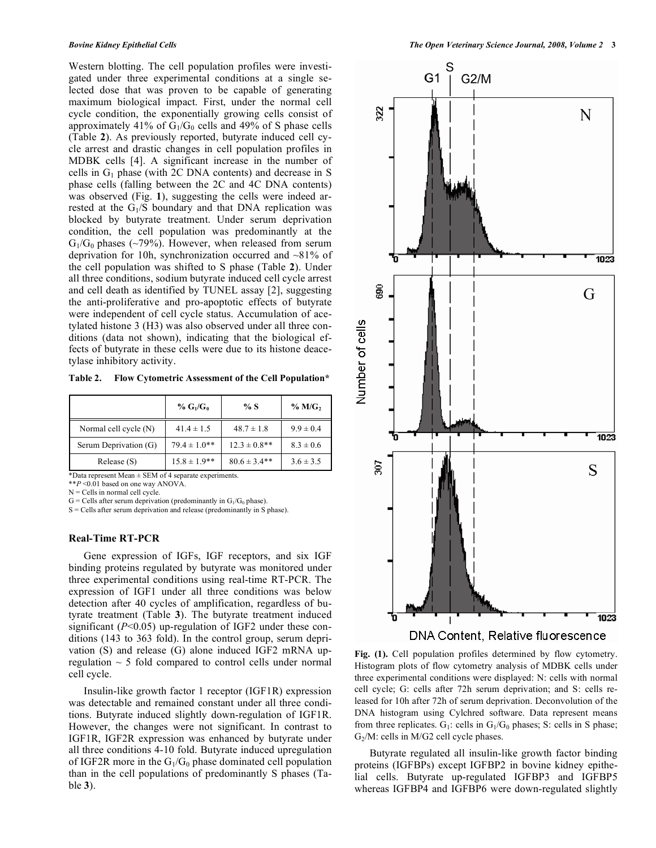Western blotting. The cell population profiles were investigated under three experimental conditions at a single selected dose that was proven to be capable of generating maximum biological impact. First, under the normal cell cycle condition, the exponentially growing cells consist of approximately 41% of  $G_1/G_0$  cells and 49% of S phase cells (Table **2**). As previously reported, butyrate induced cell cycle arrest and drastic changes in cell population profiles in MDBK cells [4]. A significant increase in the number of cells in  $G_1$  phase (with 2C DNA contents) and decrease in S phase cells (falling between the 2C and 4C DNA contents) was observed (Fig. 1), suggesting the cells were indeed arrested at the  $G<sub>1</sub>/S$  boundary and that DNA replication was blocked by butyrate treatment. Under serum deprivation condition, the cell population was predominantly at the  $G_1/G_0$  phases (~79%). However, when released from serum deprivation for 10h, synchronization occurred and ~81% of the cell population was shifted to S phase (Table **2**). Under all three conditions, sodium butyrate induced cell cycle arrest and cell death as identified by TUNEL assay [2], suggesting the anti-proliferative and pro-apoptotic effects of butyrate were independent of cell cycle status. Accumulation of acetylated histone 3 (H3) was also observed under all three conditions (data not shown), indicating that the biological effects of butyrate in these cells were due to its histone deacetylase inhibitory activity.

**Table 2. Flow Cytometric Assessment of the Cell Population\*** 

|                       | % $G_1/G_0$      | % S               | $%$ M/G <sub>2</sub> |
|-----------------------|------------------|-------------------|----------------------|
| Normal cell cycle (N) | $41.4 \pm 1.5$   | $48.7 \pm 1.8$    | $9.9 \pm 0.4$        |
| Serum Deprivation (G) | $79.4 \pm 1.0**$ | $12.3 \pm 0.8$ ** | $8.3 \pm 0.6$        |
| Release (S)           | $15.8 \pm 1.9**$ | $80.6 \pm 3.4**$  | $3.6 \pm 3.5$        |

\*Data represent Mean ± SEM of 4 separate experiments.

\*\**P* <0.01 based on one way ANOVA.

 $N =$  Cells in normal cell cycle.

 $G =$  Cells after serum deprivation (predominantly in  $G_1/G_0$  phase).

S = Cells after serum deprivation and release (predominantly in S phase).

## **Real-Time RT-PCR**

Gene expression of IGFs, IGF receptors, and six IGF binding proteins regulated by butyrate was monitored under three experimental conditions using real-time RT-PCR. The expression of IGF1 under all three conditions was below detection after 40 cycles of amplification, regardless of butyrate treatment (Table **3**). The butyrate treatment induced significant (*P*<0.05) up-regulation of IGF2 under these conditions (143 to 363 fold). In the control group, serum deprivation (S) and release (G) alone induced IGF2 mRNA upregulation  $\sim$  5 fold compared to control cells under normal cell cycle.

 Insulin-like growth factor 1 receptor (IGF1R) expression was detectable and remained constant under all three conditions. Butyrate induced slightly down-regulation of IGF1R. However, the changes were not significant. In contrast to IGF1R, IGF2R expression was enhanced by butyrate under all three conditions 4-10 fold. Butyrate induced upregulation of IGF2R more in the  $G_1/G_0$  phase dominated cell population than in the cell populations of predominantly S phases (Table **3**).



**Fig. (1).** Cell population profiles determined by flow cytometry. Histogram plots of flow cytometry analysis of MDBK cells under three experimental conditions were displayed: N: cells with normal cell cycle; G: cells after 72h serum deprivation; and S: cells released for 10h after 72h of serum deprivation. Deconvolution of the DNA histogram using Cylchred software. Data represent means from three replicates.  $G_1$ : cells in  $G_1/G_0$  phases; S: cells in S phase; G<sub>2</sub>/M: cells in M/G<sub>2</sub> cell cycle phases.

 Butyrate regulated all insulin-like growth factor binding proteins (IGFBPs) except IGFBP2 in bovine kidney epithelial cells. Butyrate up-regulated IGFBP3 and IGFBP5 whereas IGFBP4 and IGFBP6 were down-regulated slightly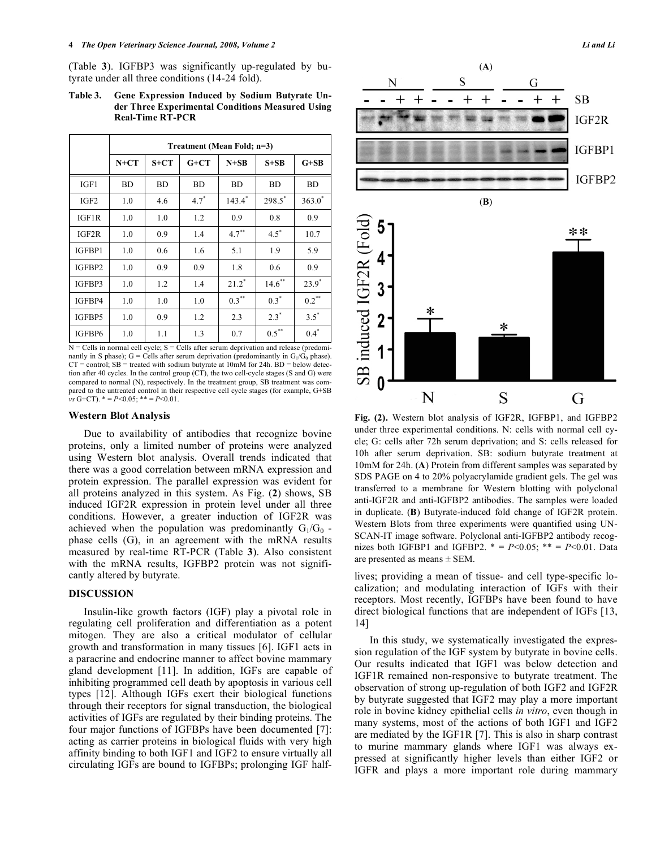(Table **3**). IGFBP3 was significantly up-regulated by butyrate under all three conditions (14-24 fold).

## **Table 3. Gene Expression Induced by Sodium Butyrate Under Three Experimental Conditions Measured Using Real-Time RT-PCR**

|                  | Treatment (Mean Fold; n=3) |           |           |           |                      |           |  |  |
|------------------|----------------------------|-----------|-----------|-----------|----------------------|-----------|--|--|
|                  | $N+CT$                     | $S+CT$    | $G+CT$    | $N+SB$    | $S + SB$             | $G+SB$    |  |  |
| IGF1             | BD                         | <b>BD</b> | <b>BD</b> | <b>BD</b> | <b>BD</b>            | <b>BD</b> |  |  |
| IGF <sub>2</sub> | 1.0                        | 4.6       | $4.7^*$   | $143.4*$  | $298.5$ <sup>*</sup> | $363.0*$  |  |  |
| IGF1R            | 1.0                        | 1.0       | 1.2       | 0.9       | 0.8                  | 0.9       |  |  |
| IGF2R            | 1.0                        | 0.9       | 1.4       | $4.7***$  | $4.5^*$              | 10.7      |  |  |
| IGFBP1           | 1.0                        | 0.6       | 1.6       | 5.1       | 1.9                  | 5.9       |  |  |
| IGFBP2           | 1.0                        | 0.9       | 0.9       | 1.8       | 0.6                  | 0.9       |  |  |
| IGFBP3           | 1.0                        | 1.2       | 1.4       | $21.2^*$  | $14.6$ **            | $23.9^*$  |  |  |
| IGFBP4           | 1.0                        | 1.0       | 1.0       | $0.3***$  | $0.3^*$              | $0.2***$  |  |  |
| IGFBP5           | 1.0                        | 0.9       | 1.2       | 2.3       | $2.3^*$              | $3.5^*$   |  |  |
| IGFBP6           | 1.0                        | 1.1       | 1.3       | 0.7       | $0.5***$             | $0.4*$    |  |  |

 $N =$  Cells in normal cell cycle;  $S =$  Cells after serum deprivation and release (predominantly in S phase); G = Cells after serum deprivation (predominantly in  $G_1/G_0$  phase).  $CT =$  control;  $SB =$  treated with sodium butyrate at 10mM for 24h.  $BD =$  below detection after 40 cycles. In the control group (CT), the two cell-cycle stages (S and G) were compared to normal (N), respectively. In the treatment group, SB treatment was compared to the untreated control in their respective cell cycle stages (for example, G+SB  $\mathbf{v}$ s G+CT).  $* = P \le 0.05$ ;  $* = P \le 0.01$ .

#### **Western Blot Analysis**

 Due to availability of antibodies that recognize bovine proteins, only a limited number of proteins were analyzed using Western blot analysis. Overall trends indicated that there was a good correlation between mRNA expression and protein expression. The parallel expression was evident for all proteins analyzed in this system. As Fig. (**2**) shows, SB induced IGF2R expression in protein level under all three conditions. However, a greater induction of IGF2R was achieved when the population was predominantly  $G_1/G_0$ . phase cells (G), in an agreement with the mRNA results measured by real-time RT-PCR (Table **3**). Also consistent with the mRNA results, IGFBP2 protein was not significantly altered by butyrate.

# **DISCUSSION**

 Insulin-like growth factors (IGF) play a pivotal role in regulating cell proliferation and differentiation as a potent mitogen. They are also a critical modulator of cellular growth and transformation in many tissues [6]. IGF1 acts in a paracrine and endocrine manner to affect bovine mammary gland development [11]. In addition, IGFs are capable of inhibiting programmed cell death by apoptosis in various cell types [12]. Although IGFs exert their biological functions through their receptors for signal transduction, the biological activities of IGFs are regulated by their binding proteins. The four major functions of IGFBPs have been documented [7]: acting as carrier proteins in biological fluids with very high affinity binding to both IGF1 and IGF2 to ensure virtually all circulating IGFs are bound to IGFBPs; prolonging IGF half-



**Fig. (2).** Western blot analysis of IGF2R, IGFBP1, and IGFBP2 under three experimental conditions. N: cells with normal cell cycle; G: cells after 72h serum deprivation; and S: cells released for 10h after serum deprivation. SB: sodium butyrate treatment at 10mM for 24h. (**A**) Protein from different samples was separated by SDS PAGE on 4 to 20% polyacrylamide gradient gels. The gel was transferred to a membrane for Western blotting with polyclonal anti-IGF2R and anti-IGFBP2 antibodies. The samples were loaded in duplicate. (**B**) Butyrate-induced fold change of IGF2R protein. Western Blots from three experiments were quantified using UN-SCAN-IT image software. Polyclonal anti-IGFBP2 antibody recognizes both IGFBP1 and IGFBP2.  $* = P < 0.05$ ;  $** = P < 0.01$ . Data are presented as means ± SEM.

lives; providing a mean of tissue- and cell type-specific localization; and modulating interaction of IGFs with their receptors. Most recently, IGFBPs have been found to have direct biological functions that are independent of IGFs [13, 14]

 In this study, we systematically investigated the expression regulation of the IGF system by butyrate in bovine cells. Our results indicated that IGF1 was below detection and IGF1R remained non-responsive to butyrate treatment. The observation of strong up-regulation of both IGF2 and IGF2R by butyrate suggested that IGF2 may play a more important role in bovine kidney epithelial cells *in vitro*, even though in many systems, most of the actions of both IGF1 and IGF2 are mediated by the IGF1R [7]. This is also in sharp contrast to murine mammary glands where IGF1 was always expressed at significantly higher levels than either IGF2 or IGFR and plays a more important role during mammary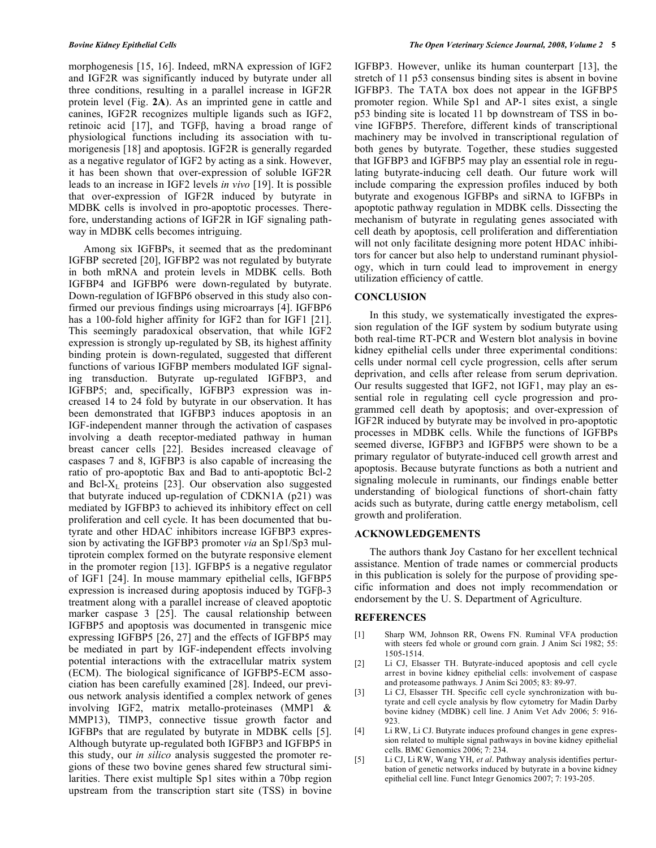morphogenesis [15, 16]. Indeed, mRNA expression of IGF2 and IGF2R was significantly induced by butyrate under all three conditions, resulting in a parallel increase in IGF2R protein level (Fig. **2A**). As an imprinted gene in cattle and canines, IGF2R recognizes multiple ligands such as IGF2, retinoic acid  $[17]$ , and TGF $\beta$ , having a broad range of physiological functions including its association with tumorigenesis [18] and apoptosis. IGF2R is generally regarded as a negative regulator of IGF2 by acting as a sink. However, it has been shown that over-expression of soluble IGF2R leads to an increase in IGF2 levels *in vivo* [19]. It is possible that over-expression of IGF2R induced by butyrate in MDBK cells is involved in pro-apoptotic processes. Therefore, understanding actions of IGF2R in IGF signaling pathway in MDBK cells becomes intriguing.

 Among six IGFBPs, it seemed that as the predominant IGFBP secreted [20], IGFBP2 was not regulated by butyrate in both mRNA and protein levels in MDBK cells. Both IGFBP4 and IGFBP6 were down-regulated by butyrate. Down-regulation of IGFBP6 observed in this study also confirmed our previous findings using microarrays [4]. IGFBP6 has a 100-fold higher affinity for IGF2 than for IGF1 [21]. This seemingly paradoxical observation, that while IGF2 expression is strongly up-regulated by SB, its highest affinity binding protein is down-regulated, suggested that different functions of various IGFBP members modulated IGF signaling transduction. Butyrate up-regulated IGFBP3, and IGFBP5; and, specifically, IGFBP3 expression was increased 14 to 24 fold by butyrate in our observation. It has been demonstrated that IGFBP3 induces apoptosis in an IGF-independent manner through the activation of caspases involving a death receptor-mediated pathway in human breast cancer cells [22]. Besides increased cleavage of caspases 7 and 8, IGFBP3 is also capable of increasing the ratio of pro-apoptotic Bax and Bad to anti-apoptotic Bcl-2 and Bcl-XL proteins [23]. Our observation also suggested that butyrate induced up-regulation of CDKN1A (p21) was mediated by IGFBP3 to achieved its inhibitory effect on cell proliferation and cell cycle. It has been documented that butyrate and other HDAC inhibitors increase IGFBP3 expression by activating the IGFBP3 promoter *via* an Sp1/Sp3 multiprotein complex formed on the butyrate responsive element in the promoter region [13]. IGFBP5 is a negative regulator of IGF1 [24]. In mouse mammary epithelial cells, IGFBP5 expression is increased during apoptosis induced by TGFB-3 treatment along with a parallel increase of cleaved apoptotic marker caspase 3 [25]. The causal relationship between IGFBP5 and apoptosis was documented in transgenic mice expressing IGFBP5 [26, 27] and the effects of IGFBP5 may be mediated in part by IGF-independent effects involving potential interactions with the extracellular matrix system (ECM). The biological significance of IGFBP5-ECM association has been carefully examined [28]. Indeed, our previous network analysis identified a complex network of genes involving IGF2, matrix metallo-proteinases (MMP1 & MMP13), TIMP3, connective tissue growth factor and IGFBPs that are regulated by butyrate in MDBK cells [5]. Although butyrate up-regulated both IGFBP3 and IGFBP5 in this study, our *in silico* analysis suggested the promoter regions of these two bovine genes shared few structural similarities. There exist multiple Sp1 sites within a 70bp region upstream from the transcription start site (TSS) in bovine

IGFBP3. However, unlike its human counterpart [13], the stretch of 11 p53 consensus binding sites is absent in bovine IGFBP3. The TATA box does not appear in the IGFBP5 promoter region. While Sp1 and AP-1 sites exist, a single p53 binding site is located 11 bp downstream of TSS in bovine IGFBP5. Therefore, different kinds of transcriptional machinery may be involved in transcriptional regulation of both genes by butyrate. Together, these studies suggested that IGFBP3 and IGFBP5 may play an essential role in regulating butyrate-inducing cell death. Our future work will include comparing the expression profiles induced by both butyrate and exogenous IGFBPs and siRNA to IGFBPs in apoptotic pathway regulation in MDBK cells. Dissecting the mechanism of butyrate in regulating genes associated with cell death by apoptosis, cell proliferation and differentiation will not only facilitate designing more potent HDAC inhibitors for cancer but also help to understand ruminant physiology, which in turn could lead to improvement in energy utilization efficiency of cattle.

### **CONCLUSION**

In this study, we systematically investigated the expression regulation of the IGF system by sodium butyrate using both real-time RT-PCR and Western blot analysis in bovine kidney epithelial cells under three experimental conditions: cells under normal cell cycle progression, cells after serum deprivation, and cells after release from serum deprivation. Our results suggested that IGF2, not IGF1, may play an essential role in regulating cell cycle progression and programmed cell death by apoptosis; and over-expression of IGF2R induced by butyrate may be involved in pro-apoptotic processes in MDBK cells. While the functions of IGFBPs seemed diverse, IGFBP3 and IGFBP5 were shown to be a primary regulator of butyrate-induced cell growth arrest and apoptosis. Because butyrate functions as both a nutrient and signaling molecule in ruminants, our findings enable better understanding of biological functions of short-chain fatty acids such as butyrate, during cattle energy metabolism, cell growth and proliferation.

### **ACKNOWLEDGEMENTS**

 The authors thank Joy Castano for her excellent technical assistance. Mention of trade names or commercial products in this publication is solely for the purpose of providing specific information and does not imply recommendation or endorsement by the U. S. Department of Agriculture.

## **REFERENCES**

- [1] Sharp WM, Johnson RR, Owens FN. Ruminal VFA production with steers fed whole or ground corn grain. J Anim Sci 1982; 55: 1505-1514.
- [2] Li CJ, Elsasser TH. Butyrate-induced apoptosis and cell cycle arrest in bovine kidney epithelial cells: involvement of caspase and proteasome pathways. J Anim Sci 2005; 83: 89-97.
- [3] Li CJ, Elsasser TH. Specific cell cycle synchronization with butyrate and cell cycle analysis by flow cytometry for Madin Darby bovine kidney (MDBK) cell line. J Anim Vet Adv 2006; 5: 916- 923.
- [4] Li RW, Li CJ. Butyrate induces profound changes in gene expression related to multiple signal pathways in bovine kidney epithelial cells. BMC Genomics 2006; 7: 234.
- [5] Li CJ, Li RW, Wang YH, *et al*. Pathway analysis identifies perturbation of genetic networks induced by butyrate in a bovine kidney epithelial cell line. Funct Integr Genomics 2007; 7: 193-205.